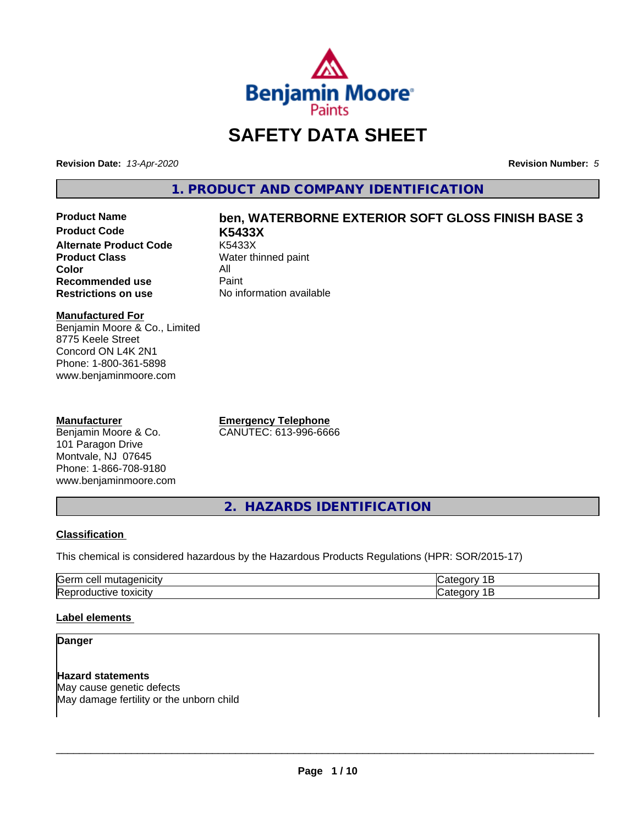

# **SAFETY DATA SHEET**

**Revision Date:** *13-Apr-2020* **Revision Number:** *5*

**1. PRODUCT AND COMPANY IDENTIFICATION**

**Product Code K5433X Alternate Product Code**<br>Product Class **Color** All<br> **Recommended use** Paint **Recommended use**<br>Restrictions on use

# **Product Name ben, WATERBORNE EXTERIOR SOFT GLOSS FINISH BASE 3**

**Water thinned paint No information available** 

### **Manufactured For**

Benjamin Moore & Co., Limited 8775 Keele Street Concord ON L4K 2N1 Phone: 1-800-361-5898 www.benjaminmoore.com

### **Manufacturer**

Benjamin Moore & Co. 101 Paragon Drive Montvale, NJ 07645 Phone: 1-866-708-9180 www.benjaminmoore.com **Emergency Telephone** CANUTEC: 613-996-6666

**2. HAZARDS IDENTIFICATION**

### **Classification**

This chemical is considered hazardous by the Hazardous Products Regulations (HPR: SOR/2015-17)

| <b>Sern</b><br>---<br> |  |
|------------------------|--|
| <b>Re</b><br>.         |  |

### **Label elements**

### **Danger**

**Hazard statements** May cause genetic defects May damage fertility or the unborn child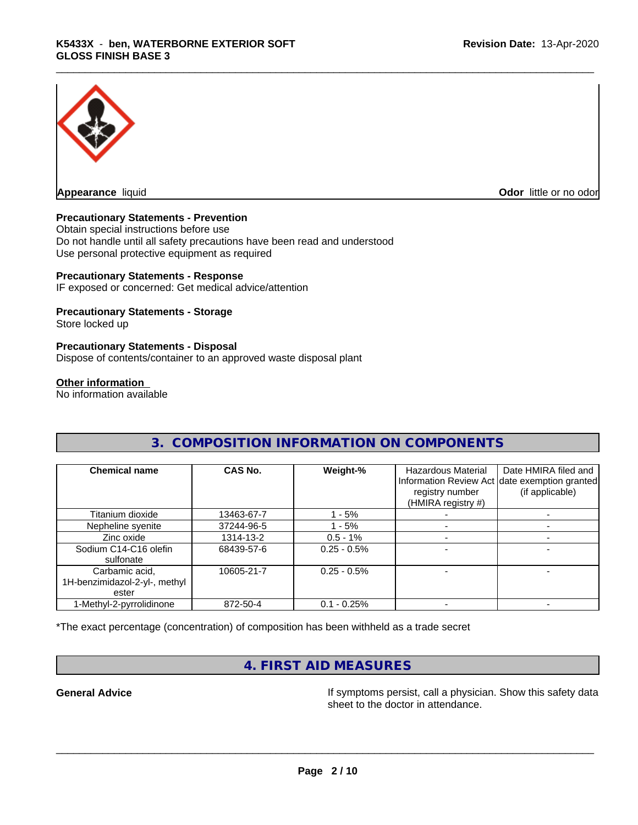

**Appearance** liquid **Odor in the original of the original of the original of the original of the original of the original of the original of the original of the original of the original of the original of the original of t** 

### **Precautionary Statements - Prevention**

Obtain special instructions before use Do not handle until all safety precautions have been read and understood Use personal protective equipment as required

### **Precautionary Statements - Response**

IF exposed or concerned: Get medical advice/attention

### **Precautionary Statements - Storage**

Store locked up

### **Precautionary Statements - Disposal**

Dispose of contents/container to an approved waste disposal plant

### **Other information**

No information available

| 3. COMPOSITION INFORMATION ON COMPONENTS                 |                |                |                                                             |                                                                                          |
|----------------------------------------------------------|----------------|----------------|-------------------------------------------------------------|------------------------------------------------------------------------------------------|
| <b>Chemical name</b>                                     | <b>CAS No.</b> | Weight-%       | Hazardous Material<br>registry number<br>(HMIRA registry #) | Date HMIRA filed and<br>Information Review Act date exemption granted<br>(if applicable) |
| Titanium dioxide                                         | 13463-67-7     | l - 5%         |                                                             |                                                                                          |
| Nepheline syenite                                        | 37244-96-5     | 1 - 5%         |                                                             |                                                                                          |
| Zinc oxide                                               | 1314-13-2      | $0.5 - 1%$     |                                                             |                                                                                          |
| Sodium C14-C16 olefin<br>sulfonate                       | 68439-57-6     | $0.25 - 0.5%$  |                                                             |                                                                                          |
| Carbamic acid,<br>1H-benzimidazol-2-yl-, methyl<br>ester | 10605-21-7     | $0.25 - 0.5\%$ |                                                             |                                                                                          |
| 1-Methyl-2-pyrrolidinone                                 | 872-50-4       | $0.1 - 0.25%$  |                                                             |                                                                                          |

### \*The exact percentage (concentration) of composition has been withheld as a trade secret

# **4. FIRST AID MEASURES**

**General Advice If** symptoms persist, call a physician. Show this safety data sheet to the doctor in attendance.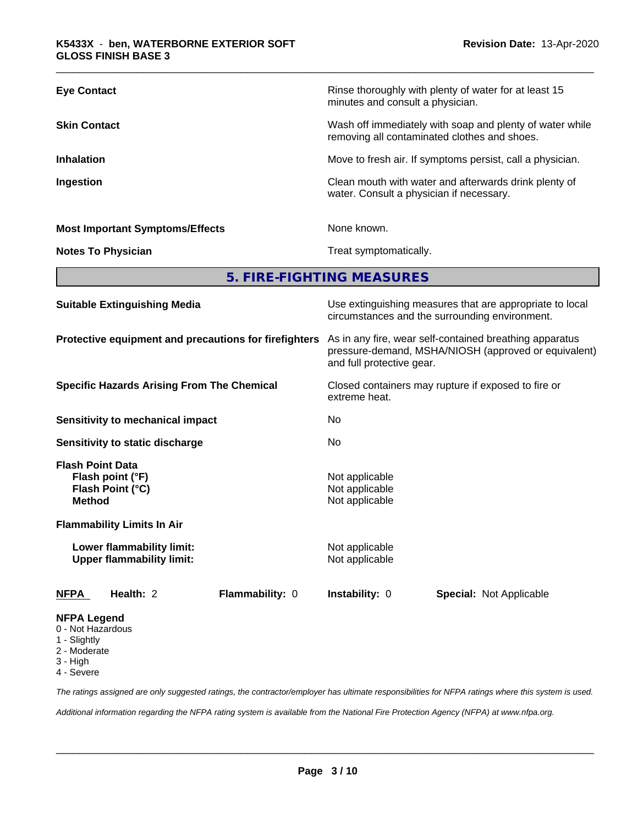| <b>Eye Contact</b>                     | Rinse thoroughly with plenty of water for at least 15<br>minutes and consult a physician.                |
|----------------------------------------|----------------------------------------------------------------------------------------------------------|
| <b>Skin Contact</b>                    | Wash off immediately with soap and plenty of water while<br>removing all contaminated clothes and shoes. |
| <b>Inhalation</b>                      | Move to fresh air. If symptoms persist, call a physician.                                                |
| Ingestion                              | Clean mouth with water and afterwards drink plenty of<br>water. Consult a physician if necessary.        |
| <b>Most Important Symptoms/Effects</b> | None known.                                                                                              |
| <b>Notes To Physician</b>              | Treat symptomatically.                                                                                   |

**5. FIRE-FIGHTING MEASURES**

| <b>Suitable Extinguishing Media</b>                                                                                   | Use extinguishing measures that are appropriate to local<br>circumstances and the surrounding environment.<br>As in any fire, wear self-contained breathing apparatus<br>pressure-demand, MSHA/NIOSH (approved or equivalent)<br>and full protective gear. |  |  |  |
|-----------------------------------------------------------------------------------------------------------------------|------------------------------------------------------------------------------------------------------------------------------------------------------------------------------------------------------------------------------------------------------------|--|--|--|
| Protective equipment and precautions for firefighters                                                                 |                                                                                                                                                                                                                                                            |  |  |  |
| <b>Specific Hazards Arising From The Chemical</b>                                                                     | Closed containers may rupture if exposed to fire or<br>extreme heat.<br>No                                                                                                                                                                                 |  |  |  |
| <b>Sensitivity to mechanical impact</b>                                                                               |                                                                                                                                                                                                                                                            |  |  |  |
| Sensitivity to static discharge                                                                                       | No.                                                                                                                                                                                                                                                        |  |  |  |
| <b>Flash Point Data</b><br>Flash point (°F)<br>Flash Point (°C)<br><b>Method</b><br><b>Flammability Limits In Air</b> | Not applicable<br>Not applicable<br>Not applicable                                                                                                                                                                                                         |  |  |  |
| Lower flammability limit:<br><b>Upper flammability limit:</b>                                                         | Not applicable<br>Not applicable                                                                                                                                                                                                                           |  |  |  |
| <b>NFPA</b><br>Health: 2<br><b>Flammability: 0</b>                                                                    | <b>Instability: 0</b><br><b>Special: Not Applicable</b>                                                                                                                                                                                                    |  |  |  |
| <b>NFPA Legend</b><br>0 - Not Hazardous<br>1 - Slightly<br>2 - Moderate<br>3 - High                                   |                                                                                                                                                                                                                                                            |  |  |  |

4 - Severe

*The ratings assigned are only suggested ratings, the contractor/employer has ultimate responsibilities for NFPA ratings where this system is used.*

*Additional information regarding the NFPA rating system is available from the National Fire Protection Agency (NFPA) at www.nfpa.org.*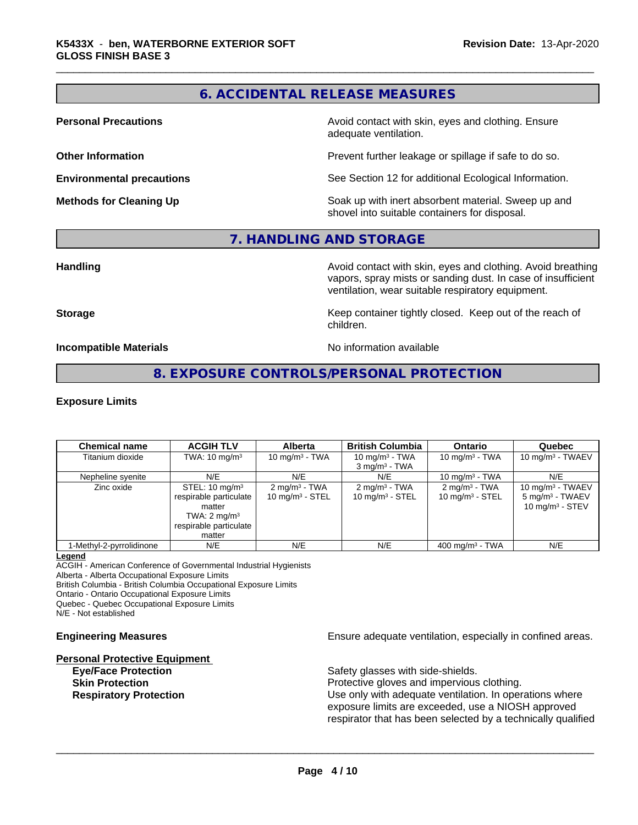# **6. ACCIDENTAL RELEASE MEASURES**

**Personal Precautions Avoid contact with skin, eyes and clothing. Ensure** Avoid contact with skin, eyes and clothing. Ensure adequate ventilation.

**Other Information Department Information Department Intervent further leakage or spillage if safe to do so.** 

**Environmental precautions** See Section 12 for additional Ecological Information.

**Methods for Cleaning Up Example 20 Soak** up with inert absorbent material. Sweep up and shovel into suitable containers for disposal.

### **7. HANDLING AND STORAGE**

**Handling Handling Avoid contact with skin, eyes and clothing. Avoid breathing** vapors, spray mists or sanding dust. In case of insufficient ventilation, wear suitable respiratory equipment.

**Storage Keep container tightly closed. Keep out of the reach of Keep** container tightly closed. Keep out of the reach of children.

**Incompatible Materials Incompatible Materials No information available** 

## **8. EXPOSURE CONTROLS/PERSONAL PROTECTION**

### **Exposure Limits**

| <b>Chemical name</b>     | <b>ACGIH TLV</b>                                                                                                             | <b>Alberta</b>                                        | <b>British Columbia</b>                               | <b>Ontario</b>                                 | Quebec                                                                   |
|--------------------------|------------------------------------------------------------------------------------------------------------------------------|-------------------------------------------------------|-------------------------------------------------------|------------------------------------------------|--------------------------------------------------------------------------|
| Titanium dioxide         | TWA: $10 \text{ mg/m}^3$                                                                                                     | 10 mg/m $3$ - TWA                                     | 10 mg/m $3$ - TWA<br>$3 \text{ mg/m}^3$ - TWA         | 10 mg/m $3$ - TWA                              | 10 mg/m $3$ - TWAEV                                                      |
| Nepheline syenite        | N/E                                                                                                                          | N/E                                                   | N/E                                                   | 10 mg/m $3$ - TWA                              | N/E                                                                      |
| Zinc oxide               | STEL: $10 \text{ mg/m}^3$<br>respirable particulate<br>matter<br>TWA: $2 \text{ mg/m}^3$<br>respirable particulate<br>matter | $2 \text{mq/m}^3$ - TWA<br>$10 \text{ mg/m}^3$ - STEL | $2 \text{mq/m}^3$ - TWA<br>$10 \text{ mg/m}^3$ - STEL | $2 \text{ mg/m}^3$ - TWA<br>10 mg/m $3 -$ STEL | 10 mg/m $3$ - TWAEV<br>5 mg/m <sup>3</sup> - TWAEV<br>10 mg/m $3 -$ STEV |
| 1-Methyl-2-pyrrolidinone | N/E                                                                                                                          | N/E                                                   | N/E                                                   | 400 mg/m $3$ - TWA                             | N/E                                                                      |

### **Legend**

ACGIH - American Conference of Governmental Industrial Hygienists

Alberta - Alberta Occupational Exposure Limits

British Columbia - British Columbia Occupational Exposure Limits

Ontario - Ontario Occupational Exposure Limits

Quebec - Quebec Occupational Exposure Limits

N/E - Not established

## **Personal Protective Equipment**

**Engineering Measures Ensure** Ensure adequate ventilation, especially in confined areas.

**Eye/Face Protection Safety glasses with side-shields.** 

 $\overline{\phantom{a}}$  ,  $\overline{\phantom{a}}$  ,  $\overline{\phantom{a}}$  ,  $\overline{\phantom{a}}$  ,  $\overline{\phantom{a}}$  ,  $\overline{\phantom{a}}$  ,  $\overline{\phantom{a}}$  ,  $\overline{\phantom{a}}$  ,  $\overline{\phantom{a}}$  ,  $\overline{\phantom{a}}$  ,  $\overline{\phantom{a}}$  ,  $\overline{\phantom{a}}$  ,  $\overline{\phantom{a}}$  ,  $\overline{\phantom{a}}$  ,  $\overline{\phantom{a}}$  ,  $\overline{\phantom{a}}$ 

**Skin Protection Protection Protective gloves and impervious clothing. Respiratory Protection Network 1** and the Use only with adequate ventilation. In operations where exposure limits are exceeded, use a NIOSH approved respirator that has been selected by a technically qualified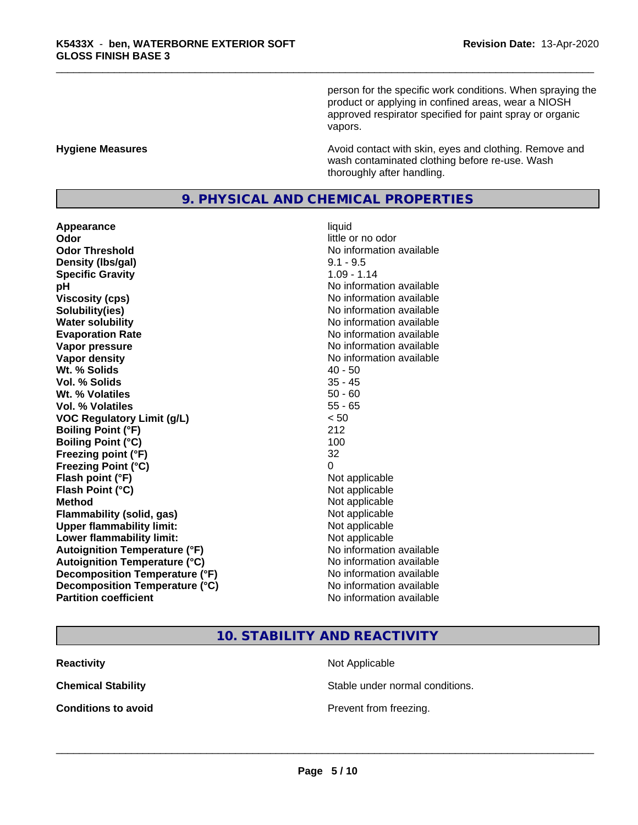person for the specific work conditions. When spraying the product or applying in confined areas, wear a NIOSH approved respirator specified for paint spray or organic vapors.

**Hygiene Measures Avoid contact with skin, eyes and clothing. Remove and Avoid contact with skin, eyes and clothing. Remove and Avoid contact with skin, eyes and clothing. Remove and** wash contaminated clothing before re-use. Wash thoroughly after handling.

### **9. PHYSICAL AND CHEMICAL PROPERTIES**

**Appearance** liquid **Odor** little or no odor **Odor Threshold No information available No information available Density (Ibs/gal)** 9.1 - 9.5<br> **Specific Gravity** 1.09 - 1.14 **Specific Gravity pH** No information available **Viscosity (cps)** No information available **Solubility(ies)** No information available in the solution of the solution of the solution available in the solution of the solution of the solution of the solution of the solution of the solution of the solution of the so **Water solubility** No information available **Evaporation Rate No information available No information available Vapor pressure** No information available in the No information available **Vapor density No information available No information available Wt.** % Solids 40 - 50 **Vol. % Solids** 35 - 45 **W<sub>t.</sub>** % Volatiles 50 - 60 **Vol. % Volatiles** 55 - 65 **VOC Regulatory Limit (g/L)** < 50 **Boiling Point (°F)** 212 **Boiling Point**  $(^{\circ}C)$  100 **Freezing point (°F)** 32 **Freezing Point (°C)** 0 **Flash point (°F)** Not applicable **Flash Point (°C)** Not applicable **Method** Not applicable **Flammability (solid, gas)** Not applicable **Upper flammability limit:** Not applicable **Lower flammability limit:**<br> **Autoignition Temperature (°F)** Not applicable have not available **Autoignition Temperature (°F)**<br> **Autoignition Temperature (°C)** No information available **Autoignition Temperature (°C)**<br> **Decomposition Temperature (°F)** No information available<br>
No information available **Decomposition Temperature (°F) Decomposition Temperature (°C)**<br> **Partition coefficient**<br> **Partition coefficient**<br> **No** information available

# **No information available**

## **10. STABILITY AND REACTIVITY**

| <b>Reactivity</b>          | Not Applicable         |
|----------------------------|------------------------|
| <b>Chemical Stability</b>  | Stable under normal co |
| <b>Conditions to avoid</b> | Prevent from freezing. |

Stable under normal conditions.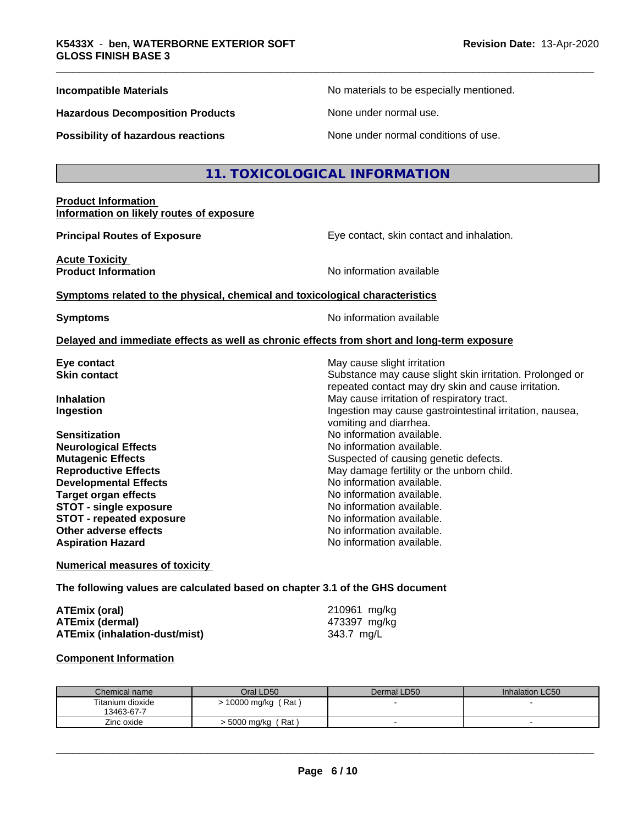**Hazardous Decomposition Products** None under normal use.

**Incompatible Materials No materials** No materials to be especially mentioned.

**Possibility of hazardous reactions** None under normal conditions of use.

### **11. TOXICOLOGICAL INFORMATION**

### **Product Information Information on likely routes of exposure**

**Principal Routes of Exposure Exposure** Eye contact, skin contact and inhalation.

**Acute Toxicity<br>Product Information** 

repeated contact may dry skin and cause irritation.

**No information available** 

### **Symptoms related to the physical, chemical and toxicological characteristics**

**Symptoms** No information available

vomiting and diarrhea.

No information available.

### **Delayed and immediate effects as well as chronic effects from short and long-term exposure**

**Eye contact** Eventual May cause slight irritation **Skin contact** Substance may cause slight skin irritation. Prolonged or

**Inhalation** May cause irritation of respiratory tract. **Ingestion Ingestion Ingestion may cause gastrointestinal irritation, nausea,** 

**Sensitization No information available.** No information available. **Neurological Effects** Noinformation available. **Mutagenic Effects** Suspected of causing genetic defects. **Reproductive Effects** May damage fertility or the unborn child.<br> **Developmental Effects** Montomation available **Developmental Effects<br>Target organ effects STOT** - single exposure **No information available. STOT** - **repeated exposure** No information available. **Other adverse effects** No information available. **Aspiration Hazard No information available.** 

### **Numerical measures of toxicity**

### **The following values are calculated based on chapter 3.1 of the GHS document**

| ATEmix (oral)                 | 210961 mg/kg |
|-------------------------------|--------------|
| ATEmix (dermal)               | 473397 mg/kg |
| ATEmix (inhalation-dust/mist) | 343.7 mg/L   |

### **Component Information**

| Chemical name    | Oral LD50            | Dermal LD50 | <b>Inhalation LC50</b> |
|------------------|----------------------|-------------|------------------------|
| Titanium dioxide | Rat<br>10000 mg/kg   |             |                        |
| 13463-67-7       |                      |             |                        |
| Zinc oxide       | Rat<br>∙ 5000 mg/kg( |             |                        |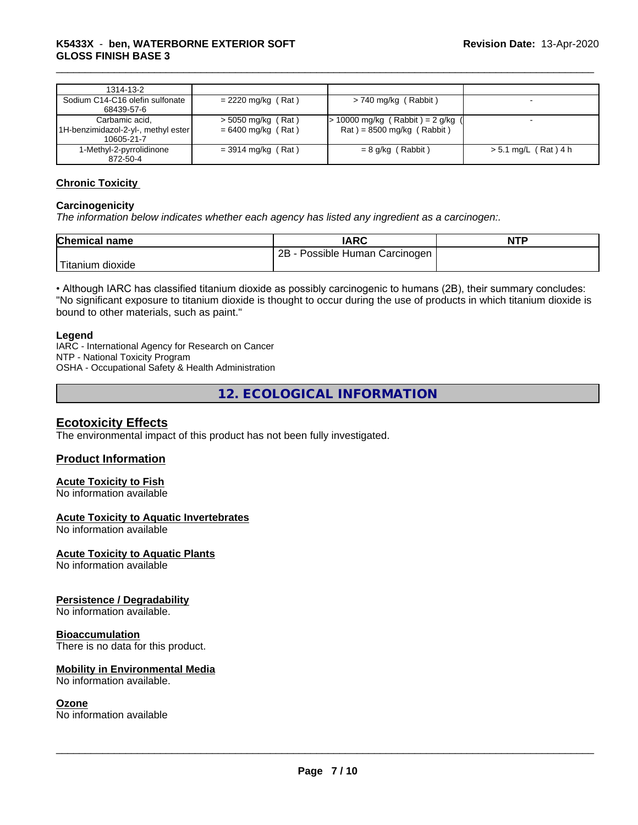| 1314-13-2                                                           |                                              |                                                                    |                        |
|---------------------------------------------------------------------|----------------------------------------------|--------------------------------------------------------------------|------------------------|
| Sodium C14-C16 olefin sulfonate<br>68439-57-6                       | $= 2220$ mg/kg (Rat)                         | > 740 mg/kg (Rabbit)                                               |                        |
| Carbamic acid.<br>1H-benzimidazol-2-yl-, methyl ester<br>10605-21-7 | $>$ 5050 mg/kg (Rat)<br>$= 6400$ mg/kg (Rat) | $> 10000$ mg/kg (Rabbit) = 2 g/kg (<br>$Rat$ = 8500 mg/kg (Rabbit) |                        |
| 1-Methyl-2-pyrrolidinone<br>872-50-4                                | $=$ 3914 mg/kg (Rat)                         | $= 8$ g/kg (Rabbit)                                                | $> 5.1$ mg/L (Rat) 4 h |

### **Chronic Toxicity**

### **Carcinogenicity**

*The information below indicateswhether each agency has listed any ingredient as a carcinogen:.*

| <b>Chemical name</b> | <b>IARC</b>                       | <b>NTP</b> |
|----------------------|-----------------------------------|------------|
|                      | Possible Human Carcinogen  <br>2B |            |
| Titanium dioxide     |                                   |            |

• Although IARC has classified titanium dioxide as possibly carcinogenic to humans (2B), their summary concludes: "No significant exposure to titanium dioxide is thought to occur during the use of products in which titanium dioxide is bound to other materials, such as paint."

### **Legend**

IARC - International Agency for Research on Cancer NTP - National Toxicity Program OSHA - Occupational Safety & Health Administration

**12. ECOLOGICAL INFORMATION**

### **Ecotoxicity Effects**

The environmental impact of this product has not been fully investigated.

### **Product Information**

### **Acute Toxicity to Fish**

No information available

### **Acute Toxicity to Aquatic Invertebrates**

No information available

### **Acute Toxicity to Aquatic Plants**

No information available

### **Persistence / Degradability**

No information available.

### **Bioaccumulation**

There is no data for this product.

### **Mobility in Environmental Media**

No information available.

### **Ozone**

No information available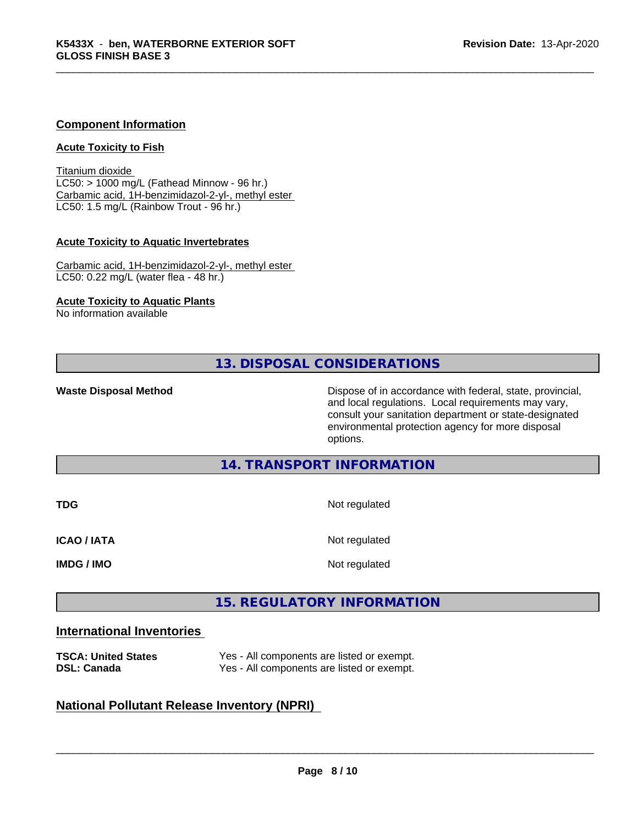### **Component Information**

### **Acute Toxicity to Fish**

Titanium dioxide  $LC50:$  > 1000 mg/L (Fathead Minnow - 96 hr.) Carbamic acid, 1H-benzimidazol-2-yl-, methyl ester LC50: 1.5 mg/L (Rainbow Trout - 96 hr.)

### **Acute Toxicity to Aquatic Invertebrates**

Carbamic acid, 1H-benzimidazol-2-yl-, methyl ester LC50: 0.22 mg/L (water flea - 48 hr.)

### **Acute Toxicity to Aquatic Plants**

No information available

**13. DISPOSAL CONSIDERATIONS**

**Waste Disposal Method Dispose of in accordance with federal, state, provincial,** and local regulations. Local requirements may vary, consult your sanitation department or state-designated environmental protection agency for more disposal options.

### **14. TRANSPORT INFORMATION**

| <b>TDG</b>         | Not regulated |  |  |
|--------------------|---------------|--|--|
| <b>ICAO / IATA</b> | Not regulated |  |  |
| <b>IMDG / IMO</b>  | Not regulated |  |  |

# **15. REGULATORY INFORMATION**

### **International Inventories**

| <b>TSCA: United States</b> | Yes - All components are listed or exempt. |
|----------------------------|--------------------------------------------|
| <b>DSL: Canada</b>         | Yes - All components are listed or exempt. |

### **National Pollutant Release Inventory (NPRI)**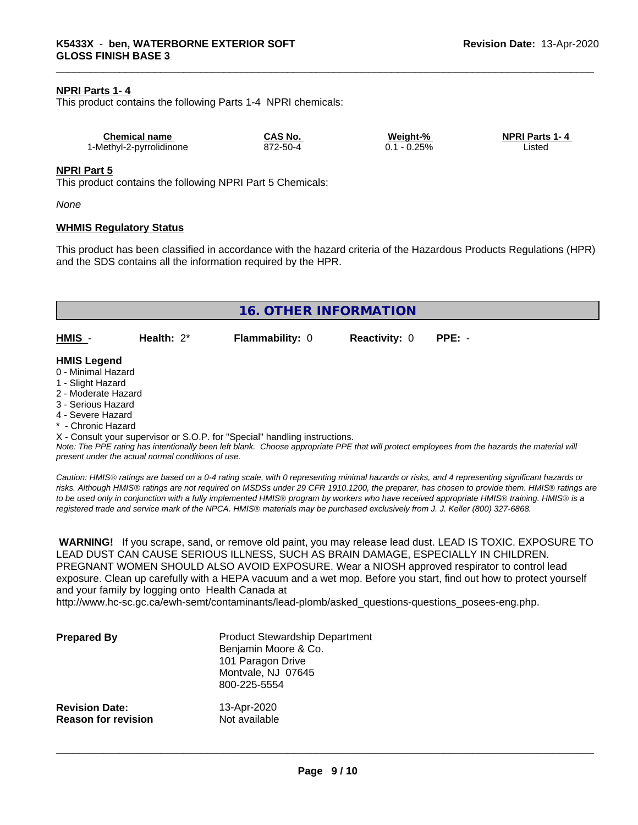### **NPRI Parts 1- 4**

This product contains the following Parts 1-4 NPRI chemicals:

| Chemical name            | CAS No.  | Weight-% | <b>NPRI Parts 1-4</b> |
|--------------------------|----------|----------|-----------------------|
| 1-Methyl-2-pyrrolidinone | 872-50-4 | $-0.25%$ | Listed                |

### **NPRI Part 5**

This product contains the following NPRI Part 5 Chemicals:

*None*

### **WHMIS Regulatory Status**

This product has been classified in accordance with the hazard criteria of the Hazardous Products Regulations (HPR) and the SDS contains all the information required by the HPR.

| 16. OTHER INFORMATION                                                                                                                                 |                                                    |                                                                            |                      |                                                                                                                                               |  |  |
|-------------------------------------------------------------------------------------------------------------------------------------------------------|----------------------------------------------------|----------------------------------------------------------------------------|----------------------|-----------------------------------------------------------------------------------------------------------------------------------------------|--|--|
| HMIS -                                                                                                                                                | Health: $2^*$                                      | <b>Flammability: 0</b>                                                     | <b>Reactivity: 0</b> | $PPE: -$                                                                                                                                      |  |  |
| <b>HMIS Legend</b><br>0 - Minimal Hazard<br>1 - Slight Hazard<br>2 - Moderate Hazard<br>3 - Serious Hazard<br>4 - Severe Hazard<br>* - Chronic Hazard |                                                    |                                                                            |                      |                                                                                                                                               |  |  |
|                                                                                                                                                       | present under the actual normal conditions of use. | X - Consult your supervisor or S.O.P. for "Special" handling instructions. |                      | Note: The PPE rating has intentionally been left blank. Choose appropriate PPE that will protect employees from the hazards the material will |  |  |

*Caution: HMISÒ ratings are based on a 0-4 rating scale, with 0 representing minimal hazards or risks, and 4 representing significant hazards or risks. Although HMISÒ ratings are not required on MSDSs under 29 CFR 1910.1200, the preparer, has chosen to provide them. HMISÒ ratings are to be used only in conjunction with a fully implemented HMISÒ program by workers who have received appropriate HMISÒ training. HMISÒ is a registered trade and service mark of the NPCA. HMISÒ materials may be purchased exclusively from J. J. Keller (800) 327-6868.*

 **WARNING!** If you scrape, sand, or remove old paint, you may release lead dust. LEAD IS TOXIC. EXPOSURE TO LEAD DUST CAN CAUSE SERIOUS ILLNESS, SUCH AS BRAIN DAMAGE, ESPECIALLY IN CHILDREN. PREGNANT WOMEN SHOULD ALSO AVOID EXPOSURE.Wear a NIOSH approved respirator to control lead exposure. Clean up carefully with a HEPA vacuum and a wet mop. Before you start, find out how to protect yourself and your family by logging onto Health Canada at

http://www.hc-sc.gc.ca/ewh-semt/contaminants/lead-plomb/asked\_questions-questions\_posees-eng.php.

| <b>Prepared By</b>         | <b>Product Stewardship Department</b><br>Benjamin Moore & Co.<br>101 Paragon Drive<br>Montvale, NJ 07645<br>800-225-5554 |
|----------------------------|--------------------------------------------------------------------------------------------------------------------------|
| <b>Revision Date:</b>      | 13-Apr-2020                                                                                                              |
| <b>Reason for revision</b> | Not available                                                                                                            |